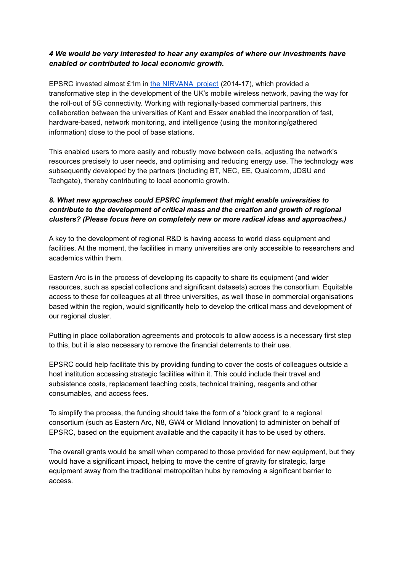## *4 We would be very interested to hear any examples of where our investments have enabled or contributed to local economic growth.*

EPSRC invested almost £1m in [the NIRVANA project](https://gtr.ukri.org/projects?ref=EP%2FL026031%2F1) (2014-17), which provided a transformative step in the development of the UK's mobile wireless network, paving the way for the roll-out of 5G connectivity. Working with regionally-based commercial partners, this collaboration between the universities of Kent and Essex enabled the incorporation of fast, hardware-based, network monitoring, and intelligence (using the monitoring/gathered information) close to the pool of base stations.

This enabled users to more easily and robustly move between cells, adjusting the network's resources precisely to user needs, and optimising and reducing energy use. The technology was subsequently developed by the partners (including BT, NEC, EE, Qualcomm, JDSU and Techgate), thereby contributing to local economic growth.

## *8. What new approaches could EPSRC implement that might enable universities to contribute to the development of critical mass and the creation and growth of regional clusters? (Please focus here on completely new or more radical ideas and approaches.)*

A key to the development of regional R&D is having access to world class equipment and facilities. At the moment, the facilities in many universities are only accessible to researchers and academics within them.

Eastern Arc is in the process of developing its capacity to share its equipment (and wider resources, such as special collections and significant datasets) across the consortium. Equitable access to these for colleagues at all three universities, as well those in commercial organisations based within the region, would significantly help to develop the critical mass and development of our regional cluster.

Putting in place collaboration agreements and protocols to allow access is a necessary first step to this, but it is also necessary to remove the financial deterrents to their use.

EPSRC could help facilitate this by providing funding to cover the costs of colleagues outside a host institution accessing strategic facilities within it. This could include their travel and subsistence costs, replacement teaching costs, technical training, reagents and other consumables, and access fees.

To simplify the process, the funding should take the form of a 'block grant' to a regional consortium (such as Eastern Arc, N8, GW4 or Midland Innovation) to administer on behalf of EPSRC, based on the equipment available and the capacity it has to be used by others.

The overall grants would be small when compared to those provided for new equipment, but they would have a significant impact, helping to move the centre of gravity for strategic, large equipment away from the traditional metropolitan hubs by removing a significant barrier to access.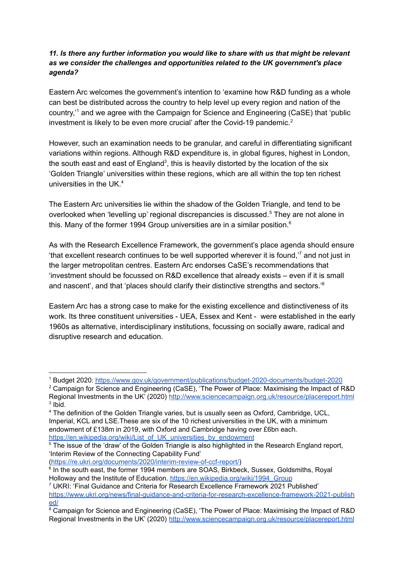## *11. Is there any further information you would like to share with us that might be relevant as we consider the challenges and opportunities related to the UK government's place agenda?*

Eastern Arc welcomes the government's intention to 'examine how R&D funding as a whole can best be distributed across the country to help level up every region and nation of the country,<sup>1</sup> and we agree with the Campaign for Science and Engineering (CaSE) that 'public investment is likely to be even more crucial' after the Covid-19 pandemic.<sup>2</sup>

However, such an examination needs to be granular, and careful in differentiating significant variations within regions. Although R&D expenditure is, in global figures, highest in London, the south east and east of England<sup>3</sup>, this is heavily distorted by the location of the six 'Golden Triangle' universities within these regions, which are all within the top ten richest universities in the UK. 4

The Eastern Arc universities lie within the shadow of the Golden Triangle, and tend to be overlooked when 'levelling up' regional discrepancies is discussed.<sup>5</sup> They are not alone in this. Many of the former 1994 Group universities are in a similar position.<sup>6</sup>

As with the Research Excellence Framework, the government's place agenda should ensure 'that excellent research continues to be well supported wherever it is found, $\frac{7}{7}$  and not just in the larger metropolitan centres. Eastern Arc endorses CaSE's recommendations that 'investment should be focussed on R&D excellence that already exists – even if it is small and nascent', and that 'places should clarify their distinctive strengths and sectors.'<sup>8</sup>

Eastern Arc has a strong case to make for the existing excellence and distinctiveness of its work. Its three constituent universities - UEA, Essex and Kent - were established in the early 1960s as alternative, interdisciplinary institutions, focussing on socially aware, radical and disruptive research and education.

[\(https://re.ukri.org/documents/2020/interim-review-of-ccf-report/\)](https://re.ukri.org/documents/2020/interim-review-of-ccf-report/)

<sup>1</sup> Budget 2020: <https://www.gov.uk/government/publications/budget-2020-documents/budget-2020>

<sup>3</sup> Ibid. <sup>2</sup> Campaign for Science and Engineering (CaSE), 'The Power of Place: Maximising the Impact of R&D Regional Investments in the UK' (2020) <http://www.sciencecampaign.org.uk/resource/placereport.html>

<sup>4</sup> The definition of the Golden Triangle varies, but is usually seen as Oxford, Cambridge, UCL, Imperial, KCL and LSE.These are six of the 10 richest universities in the UK, with a minimum endowment of £138m in 2019, with Oxford and Cambridge having over £6bn each. [https://en.wikipedia.org/wiki/List\\_of\\_UK\\_universities\\_by\\_endowment](https://en.wikipedia.org/wiki/List_of_UK_universities_by_endowment)

<sup>&</sup>lt;sup>5</sup> The issue of the 'draw' of the Golden Triangle is also highlighted in the Research England report, 'Interim Review of the Connecting Capability Fund'

<sup>&</sup>lt;sup>6</sup> In the south east, the former 1994 members are SOAS, Birkbeck, Sussex, Goldsmiths, Royal Holloway and the Institute of Education. [https://en.wikipedia.org/wiki/1994\\_Group](https://en.wikipedia.org/wiki/1994_Group)

<sup>7</sup> UKRI: 'Final Guidance and Criteria for Research Excellence Framework 2021 Published' [https://www.ukri.org/news/final-guidance-and-criteria-for-research-excellence-framework-2021-publish](https://www.ukri.org/news/final-guidance-and-criteria-for-research-excellence-framework-2021-published/) [ed/](https://www.ukri.org/news/final-guidance-and-criteria-for-research-excellence-framework-2021-published/)

<sup>&</sup>lt;sup>8</sup> Campaign for Science and Engineering (CaSE), 'The Power of Place: Maximising the Impact of R&D Regional Investments in the UK' (2020) <http://www.sciencecampaign.org.uk/resource/placereport.html>